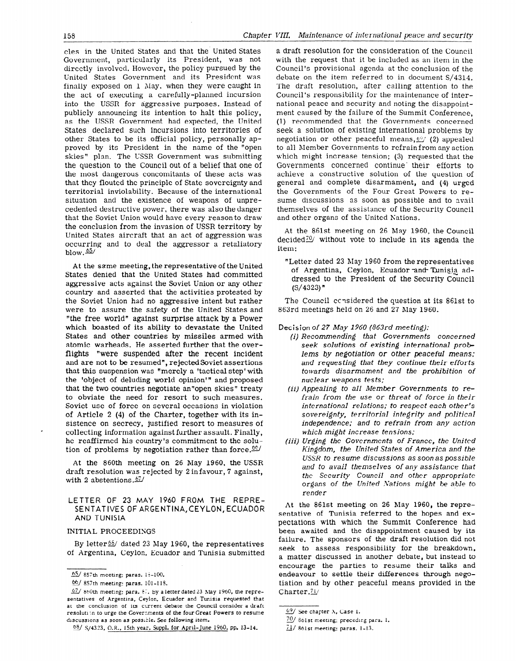cles in the United States and that the. United States Government, particularly its President, was not directly involved. However, the policy pursued by the United States Government and its President was finally exposed on 1 May, when they were caught in the act of executing a carefully-planned incursion into the USSR for aggressive purposes. Instead of publicly announcing its intention to halt this policy, as the USSR Government had expected, the United States declared such incursions into territories of other States to be its official policy, personally approved by its President in the name of the "open skies" plan. The LSSR Government was submitting the question to the Council out of a belief that one of the most dangerous concomitants of these acts was that they flouted the principle of State sovereignty and territorial inviolability. Because of the international situation and the existence of weapons of unprecedented destructive power, there was also the danger that the Soviet Union would have every reason to draw the conclusion from the invasion of USSR territory by United States aircraft that an act of aggression was occurring and to deal the aggressor a retaliatory blow.  $65/$ 

At the same meeting, the representative of the United States denied that the United States had committed aggressive acts against the Soviet Union or any other country and asserted that the activities protested by the Soviet Union had no aggressive intent but rather were to assure the safety of the United States and "the free world" against surprise attack by a Power which boasted of its ability to devastate the United States and other countries by missiles armed with atomic warheads. He asserted further that the overflights "were suspended after the recent incident and are not to be resumed", rejected Soviet assertions that this suspension was "merely a 'tactical step'with the 'object of deluding world opinion'" and proposed that the two countries negotiate an"open skies" treaty to obviate the need for resort to such measures. Soviet use of force on several occasions in violation of Article 2 (4) of the Charter, together with its insistence on secrecy, justified resort to measures of collecting information against further assault. Finally, he reaffirmed his country's commitment to the solution of problems by negotiation rather than force.  $66/$ 

At the 860th meeting on 26 May 1960, the USSR draft resolution was rejected by 2 infavour, 7 against, with 2 abstentions. $67/$ 

## LETTER OF 23 MAY 1960 FROM THE REPRE-SENTATIVES OF ARGENTINA,CEYLON, ECUADOR AND TUNlSlA

## INITIAL PROCEEDISGS

.

By letter<sup>66</sup>/ dated 23 May 1960, the representatives of Argentina, Ceylon, Ecuador and Tunisia submitted a draft resolution for the consideration of the Council with the request that it be included as an item in the Council's provisional agenda at the conclusion of the debate on the item referred to in document S/4314, The draft resolution, after calling attention to the Council's responsibility for the maintenance of international peace and security and noting the disappointment caused by the failure of the Summit Conference, (1) recommended that the Governments concerned seek a solution of existing international problems by negotiation or other peaceful means,  $\mathcal{Q}'$  (2) appealed to all Member Governments to refrain from any action which might increase tension; (3) requested that the Governments concerned continue their efforts to achieve a constructive solution of the question of general and complete disarmament, and (4) urged the Governments of the Four Great Powers to resume discussions as soon as possible and to avail themselves of the assistance of the Security Council and other organs of the United Kations.

At the 861st meeting on 26 May 1960, the Council decided $20$  without vote to include in its agenda the item:

"Letter dated 23 May 1960 from the representatives of Argentina, Ceylon, Ecuador and- Tunisia addressed to the President of the Security Council  $(S/4323)$ "

The Council considered the question at its 861st to 863rd meetings held on 26 and 27 May 1960.

## Decision of 27 May 1960 (863rd meeting):

- (i) Recommending that Governments concerned seek solutions of existing international problems by negotiation or other peaceful means; and requesting that they continue their efforts towards disarmament and the prohibition of nuclear weapons tests;
- (ii) Appealing to all Member Governments to refrain from the use or threat of force in their international relations; to respect each other's sovereignty, territorial integrity and political independence; and to refrain from any action which might increase tensions:
- (iii) Urging the Governments of France, the United Kingdom, the United States of America and the USSR to resume discussions as soon as possible and to avail themselves of any assistance that the Security Council and other appropriate organs of the United Xations might be able to render

At the 861st meeting on 26 May 1960, the representative of Tunisia referred to the hopes and expectations with which the Summit Conference had been awaited and the disappointment caused by its failure. The sponsors of the draft resolution did not seek to assess responsibility for the breakdoun, a matter discussed in another debate, but instead to encourage the parties to resume their talks and endeavour to settle their differences through negotiation and by other peaceful means provided in the Charter.<sup>71</sup>/

 $65/ 857$ th meeting: paras. 15-100.

<sup>66/ 857</sup>th meeting: paras. 101-118.

 $67/860$ th meeting: para.  $67.$  By a letter dated 23 May 1960, the representatives of Argentina, Ceylon, Ecuador and Tunisia requested that at the conclusion of its current debate the Council consider a draft resolution to urge the Governments of the four Great Powers to resume discussions as soon as possible. See following item.

<sup>68/</sup> S/4323, O.R., 15th year, Suppl. for April-June 1960, pp. 13-14.

<sup>69/</sup> See chapter X, Case 1.

<sup>70/ 861</sup>st meeting; preceding para. 1.

 $71/$  861st meeting: paras. 1-13.